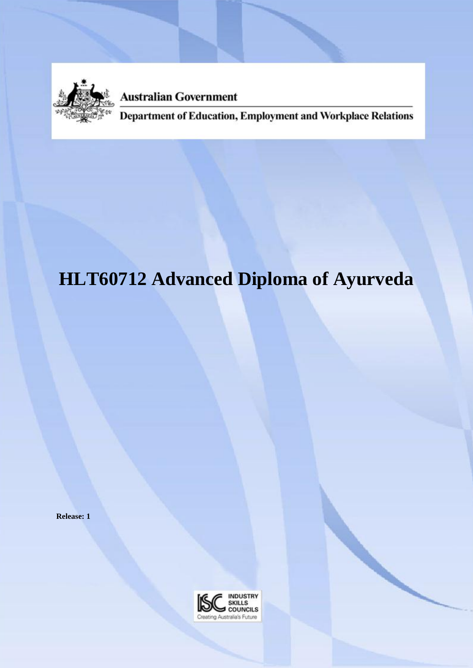

**Australian Government** 

Department of Education, Employment and Workplace Relations

# **HLT60712 Advanced Diploma of Ayurveda**

**Release: 1**

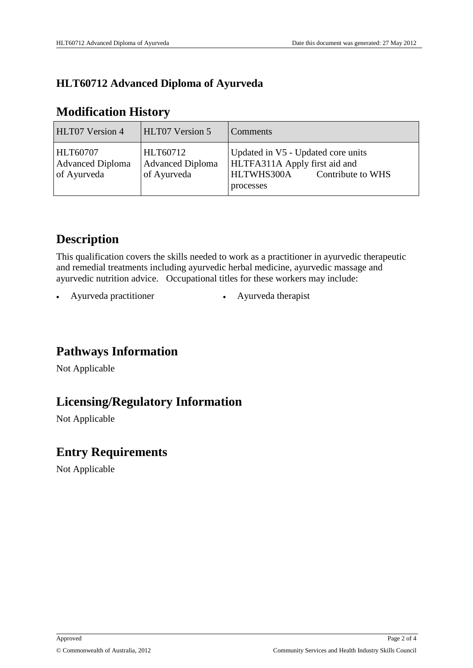#### **HLT60712 Advanced Diploma of Ayurveda**

#### **Modification History**

| HLT07 Version 4                                           | <b>HLT07 Version 5</b>                             | Comments                                                                                                            |
|-----------------------------------------------------------|----------------------------------------------------|---------------------------------------------------------------------------------------------------------------------|
| <b>HLT60707</b><br><b>Advanced Diploma</b><br>of Ayurveda | HLT60712<br><b>Advanced Diploma</b><br>of Ayurveda | Updated in V5 - Updated core units<br>HLTFA311A Apply first aid and<br>HLTWHS300A<br>Contribute to WHS<br>processes |

## **Description**

This qualification covers the skills needed to work as a practitioner in ayurvedic therapeutic and remedial treatments including ayurvedic herbal medicine, ayurvedic massage and ayurvedic nutrition advice. Occupational titles for these workers may include:

Ayurveda practitioner <br> • Ayurveda therapist

## **Pathways Information**

Not Applicable

## **Licensing/Regulatory Information**

Not Applicable

#### **Entry Requirements**

Not Applicable